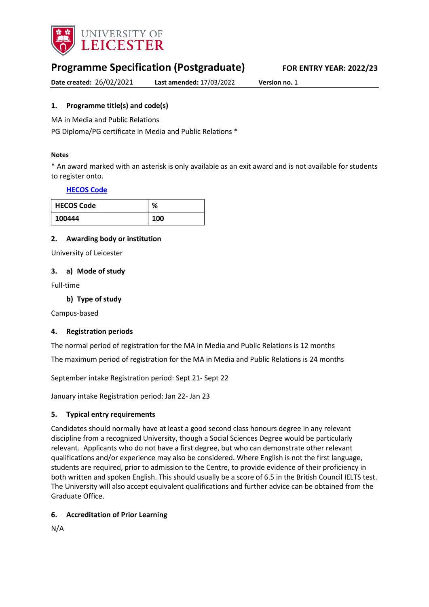

# **Programme Specification (Postgraduate) FOR ENTRY YEAR: 2022/23**

**Date created:** 26/02/2021 **Last amended:** 17/03/2022 **Version no.** 1

### <span id="page-0-0"></span>**1. Programme title(s) and code(s)**

MA in Media and Public Relations

PG Diploma/PG certificate in Media and Public Relations \*

#### **Notes**

\* An award marked with an asterisk is only available as an exit award and is not available for students to register onto.

#### **[HECOS Code](https://www.hesa.ac.uk/innovation/hecos)**

| <b>HECOS Code</b> | %   |
|-------------------|-----|
| 100444            | 100 |

#### **2. Awarding body or institution**

University of Leicester

#### **3. a) Mode of study**

Full-time

#### **b) Type of study**

Campus-based

#### **4. Registration periods**

The normal period of registration for the MA in Media and Public Relations is 12 months

The maximum period of registration for the MA in Media and Public Relations is 24 months

September intake Registration period: Sept 21- Sept 22

January intake Registration period: Jan 22- Jan 23

#### **5. Typical entry requirements**

Candidates should normally have at least a good second class honours degree in any relevant discipline from a recognized University, though a Social Sciences Degree would be particularly relevant. Applicants who do not have a first degree, but who can demonstrate other relevant qualifications and/or experience may also be considered. Where English is not the first language, students are required, prior to admission to the Centre, to provide evidence of their proficiency in both written and spoken English. This should usually be a score of 6.5 in the British Council IELTS test. The University will also accept equivalent qualifications and further advice can be obtained from the Graduate Office.

#### **6. Accreditation of Prior Learning**

N/A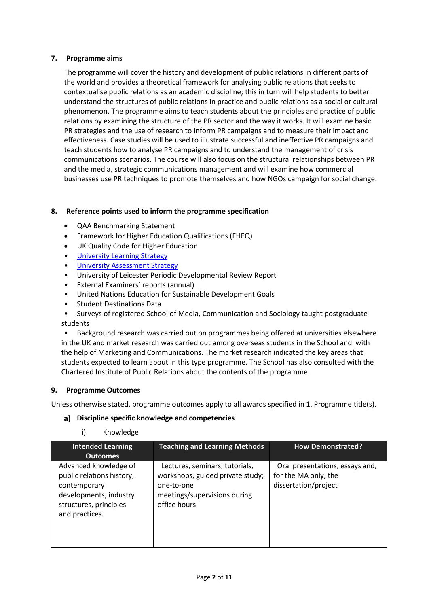#### **7. Programme aims**

The programme will cover the history and development of public relations in different parts of the world and provides a theoretical framework for analysing public relations that seeks to contextualise public relations as an academic discipline; this in turn will help students to better understand the structures of public relations in practice and public relations as a social or cultural phenomenon. The programme aims to teach students about the principles and practice of public relations by examining the structure of the PR sector and the way it works. It will examine basic PR strategies and the use of research to inform PR campaigns and to measure their impact and effectiveness. Case studies will be used to illustrate successful and ineffective PR campaigns and teach students how to analyse PR campaigns and to understand the management of crisis communications scenarios. The course will also focus on the structural relationships between PR and the media, strategic communications management and will examine how commercial businesses use PR techniques to promote themselves and how NGOs campaign for social change.

#### **8. Reference points used to inform the programme specification**

- QAA Benchmarking Statement
- Framework for Higher Education Qualifications (FHEQ)
- UK Quality Code for Higher Education
- [University Learning](https://www2.le.ac.uk/offices/sas2/quality/learnteach) Strategy
- [University Assessment Strategy](https://www2.le.ac.uk/offices/sas2/quality/learnteach)
- University of Leicester Periodic Developmental Review Report
- External Examiners' reports (annual)
- United Nations Education for Sustainable Development Goals
- Student Destinations Data
- Surveys of registered School of Media, Communication and Sociology taught postgraduate students

• Background research was carried out on programmes being offered at universities elsewhere in the UK and market research was carried out among overseas students in the School and with the help of Marketing and Communications. The market research indicated the key areas that students expected to learn about in this type programme. The School has also consulted with the Chartered Institute of Public Relations about the contents of the programme.

#### **9. Programme Outcomes**

Unless otherwise stated, programme outcomes apply to all awards specified in [1.](#page-0-0) Programme title(s).

#### **Discipline specific knowledge and competencies**

#### i) Knowledge

| <b>Intended Learning</b>                                                                                                                 | <b>Teaching and Learning Methods</b>                                                                                             | <b>How Demonstrated?</b>                                                        |
|------------------------------------------------------------------------------------------------------------------------------------------|----------------------------------------------------------------------------------------------------------------------------------|---------------------------------------------------------------------------------|
| <b>Outcomes</b>                                                                                                                          |                                                                                                                                  |                                                                                 |
| Advanced knowledge of<br>public relations history,<br>contemporary<br>developments, industry<br>structures, principles<br>and practices. | Lectures, seminars, tutorials,<br>workshops, guided private study;<br>one-to-one<br>meetings/supervisions during<br>office hours | Oral presentations, essays and,<br>for the MA only, the<br>dissertation/project |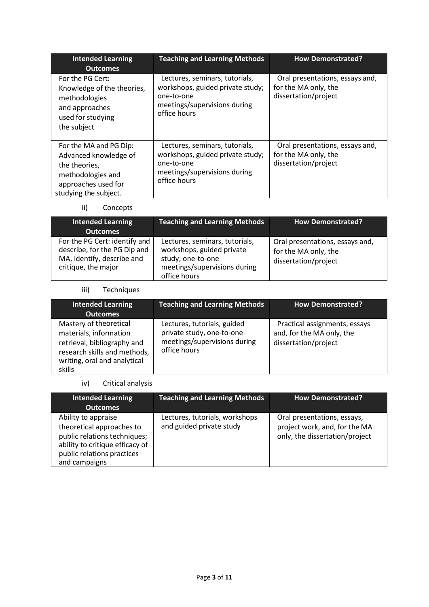| <b>Intended Learning</b><br><b>Outcomes</b>                                                                                           | <b>Teaching and Learning Methods</b>                                                                                             | <b>How Demonstrated?</b>                                                        |
|---------------------------------------------------------------------------------------------------------------------------------------|----------------------------------------------------------------------------------------------------------------------------------|---------------------------------------------------------------------------------|
| For the PG Cert:<br>Knowledge of the theories,<br>methodologies<br>and approaches<br>used for studying<br>the subject                 | Lectures, seminars, tutorials,<br>workshops, guided private study;<br>one-to-one<br>meetings/supervisions during<br>office hours | Oral presentations, essays and,<br>for the MA only, the<br>dissertation/project |
| For the MA and PG Dip:<br>Advanced knowledge of<br>the theories,<br>methodologies and<br>approaches used for<br>studying the subject. | Lectures, seminars, tutorials,<br>workshops, guided private study;<br>one-to-one<br>meetings/supervisions during<br>office hours | Oral presentations, essays and,<br>for the MA only, the<br>dissertation/project |

## ii) Concepts

| <b>Intended Learning</b><br><b>Outcomes</b>                                                                        | <b>Teaching and Learning Methods</b>                                                                                             | <b>How Demonstrated?</b>                                                        |
|--------------------------------------------------------------------------------------------------------------------|----------------------------------------------------------------------------------------------------------------------------------|---------------------------------------------------------------------------------|
| For the PG Cert: identify and<br>describe, for the PG Dip and<br>MA, identify, describe and<br>critique, the major | Lectures, seminars, tutorials,<br>workshops, guided private<br>study; one-to-one<br>meetings/supervisions during<br>office hours | Oral presentations, essays and,<br>for the MA only, the<br>dissertation/project |

## iii) Techniques

| <b>Intended Learning</b>                                                                                                                                  | <b>Teaching and Learning Methods</b>                                                                     | <b>How Demonstrated?</b>                                                           |
|-----------------------------------------------------------------------------------------------------------------------------------------------------------|----------------------------------------------------------------------------------------------------------|------------------------------------------------------------------------------------|
| <b>Outcomes</b>                                                                                                                                           |                                                                                                          |                                                                                    |
| Mastery of theoretical<br>materials, information<br>retrieval, bibliography and<br>research skills and methods,<br>writing, oral and analytical<br>skills | Lectures, tutorials, guided<br>private study, one-to-one<br>meetings/supervisions during<br>office hours | Practical assignments, essays<br>and, for the MA only, the<br>dissertation/project |

## iv) Critical analysis

| <b>Intended Learning</b><br><b>Outcomes</b>                                                                                                                        | <b>Teaching and Learning Methods</b>                       | <b>How Demonstrated?</b>                                                                       |
|--------------------------------------------------------------------------------------------------------------------------------------------------------------------|------------------------------------------------------------|------------------------------------------------------------------------------------------------|
| Ability to appraise<br>theoretical approaches to<br>public relations techniques;<br>ability to critique efficacy of<br>public relations practices<br>and campaigns | Lectures, tutorials, workshops<br>and guided private study | Oral presentations, essays,<br>project work, and, for the MA<br>only, the dissertation/project |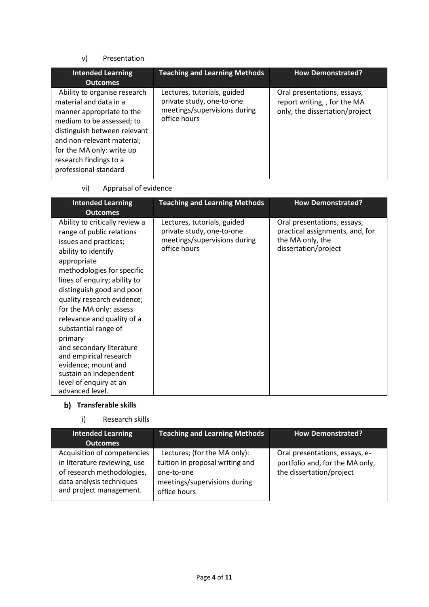#### v) Presentation

| <b>Intended Learning</b><br><b>Outcomes</b>                                                                                                                                                                                                                    | <b>Teaching and Learning Methods</b>                                                                     | <b>How Demonstrated?</b>                                                                      |
|----------------------------------------------------------------------------------------------------------------------------------------------------------------------------------------------------------------------------------------------------------------|----------------------------------------------------------------------------------------------------------|-----------------------------------------------------------------------------------------------|
| Ability to organise research<br>material and data in a<br>manner appropriate to the<br>medium to be assessed; to<br>distinguish between relevant<br>and non-relevant material;<br>for the MA only: write up<br>research findings to a<br>professional standard | Lectures, tutorials, guided<br>private study, one-to-one<br>meetings/supervisions during<br>office hours | Oral presentations, essays,<br>report writing, , for the MA<br>only, the dissertation/project |

vi) Appraisal of evidence

| <b>Intended Learning</b><br><b>Outcomes</b>                                                                                                                                                                                                                                                                                                                                                                                                                                                         | <b>Teaching and Learning Methods</b>                                                                     | <b>How Demonstrated?</b>                                                                                   |
|-----------------------------------------------------------------------------------------------------------------------------------------------------------------------------------------------------------------------------------------------------------------------------------------------------------------------------------------------------------------------------------------------------------------------------------------------------------------------------------------------------|----------------------------------------------------------------------------------------------------------|------------------------------------------------------------------------------------------------------------|
| Ability to critically review a<br>range of public relations<br>issues and practices;<br>ability to identify<br>appropriate<br>methodologies for specific<br>lines of enquiry; ability to<br>distinguish good and poor<br>quality research evidence;<br>for the MA only: assess<br>relevance and quality of a<br>substantial range of<br>primary<br>and secondary literature<br>and empirical research<br>evidence; mount and<br>sustain an independent<br>level of enquiry at an<br>advanced level. | Lectures, tutorials, guided<br>private study, one-to-one<br>meetings/supervisions during<br>office hours | Oral presentations, essays,<br>practical assignments, and, for<br>the MA only, the<br>dissertation/project |

# **Transferable skills**

## i) Research skills

| <b>Intended Learning</b><br>Outcomes                                                                                                             | <b>Teaching and Learning Methods</b>                                                                                          | <b>How Demonstrated?</b>                                                                      |
|--------------------------------------------------------------------------------------------------------------------------------------------------|-------------------------------------------------------------------------------------------------------------------------------|-----------------------------------------------------------------------------------------------|
| Acquisition of competencies<br>in literature reviewing, use<br>of research methodologies,<br>data analysis techniques<br>and project management. | Lectures; (for the MA only):<br>tuition in proposal writing and<br>one-to-one<br>meetings/supervisions during<br>office hours | Oral presentations, essays, e-<br>portfolio and, for the MA only,<br>the dissertation/project |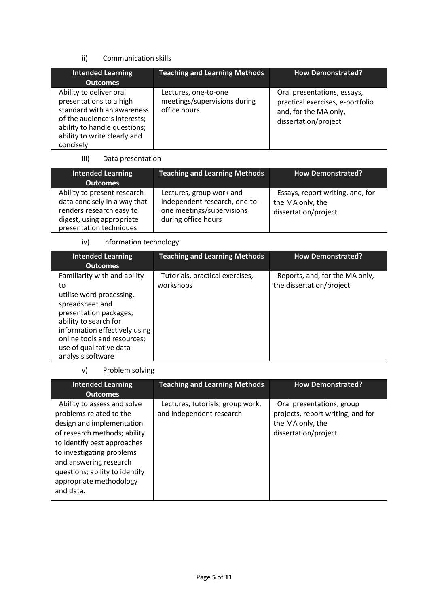#### ii) Communication skills

| <b>Intended Learning</b><br><b>Outcomes</b>                                                                                                                                                   | <b>Teaching and Learning Methods</b>                                 | <b>How Demonstrated?</b>                                                                                         |
|-----------------------------------------------------------------------------------------------------------------------------------------------------------------------------------------------|----------------------------------------------------------------------|------------------------------------------------------------------------------------------------------------------|
| Ability to deliver oral<br>presentations to a high<br>standard with an awareness<br>of the audience's interests;<br>ability to handle questions;<br>ability to write clearly and<br>concisely | Lectures, one-to-one<br>meetings/supervisions during<br>office hours | Oral presentations, essays,<br>practical exercises, e-portfolio<br>and, for the MA only,<br>dissertation/project |

## iii) Data presentation

| <b>Intended Learning</b><br><b>Outcomes</b>                                                                                                     | <b>Teaching and Learning Methods</b>                                                                          | <b>How Demonstrated?</b>                                                     |
|-------------------------------------------------------------------------------------------------------------------------------------------------|---------------------------------------------------------------------------------------------------------------|------------------------------------------------------------------------------|
| Ability to present research<br>data concisely in a way that<br>renders research easy to<br>digest, using appropriate<br>presentation techniques | Lectures, group work and<br>independent research, one-to-<br>one meetings/supervisions<br>during office hours | Essays, report writing, and, for<br>the MA only, the<br>dissertation/project |

## iv) Information technology

| <b>Intended Learning</b><br><b>Outcomes</b>                                                                                                                                                                                                          | <b>Teaching and Learning Methods</b>         | <b>How Demonstrated?</b>                                   |
|------------------------------------------------------------------------------------------------------------------------------------------------------------------------------------------------------------------------------------------------------|----------------------------------------------|------------------------------------------------------------|
| Familiarity with and ability<br>to<br>utilise word processing,<br>spreadsheet and<br>presentation packages;<br>ability to search for<br>information effectively using<br>online tools and resources;<br>use of qualitative data<br>analysis software | Tutorials, practical exercises,<br>workshops | Reports, and, for the MA only,<br>the dissertation/project |

## v) Problem solving

| <b>Intended Learning</b><br><b>Outcomes</b>                                                                                                                                                                                                                                         | <b>Teaching and Learning Methods</b>                         | <b>How Demonstrated?</b>                                                                                   |
|-------------------------------------------------------------------------------------------------------------------------------------------------------------------------------------------------------------------------------------------------------------------------------------|--------------------------------------------------------------|------------------------------------------------------------------------------------------------------------|
| Ability to assess and solve<br>problems related to the<br>design and implementation<br>of research methods; ability<br>to identify best approaches<br>to investigating problems<br>and answering research<br>questions; ability to identify<br>appropriate methodology<br>and data. | Lectures, tutorials, group work,<br>and independent research | Oral presentations, group<br>projects, report writing, and for<br>the MA only, the<br>dissertation/project |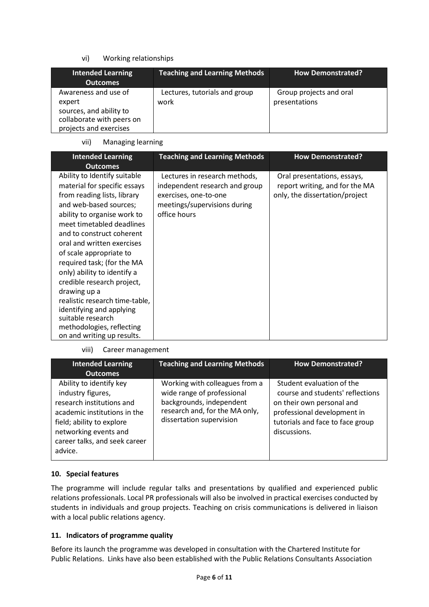### vi) Working relationships

| Intended Learning<br><b>Outcomes</b>                                                                             | <b>Teaching and Learning Methods</b>  | <b>How Demonstrated?</b>                 |
|------------------------------------------------------------------------------------------------------------------|---------------------------------------|------------------------------------------|
| Awareness and use of<br>expert<br>sources, and ability to<br>collaborate with peers on<br>projects and exercises | Lectures, tutorials and group<br>work | Group projects and oral<br>presentations |

#### vii) Managing learning

| <b>Intended Learning</b><br><b>Outcomes</b>                                                                                                                                                                                                                                                                                                                                                                                                                                                                                      | <b>Teaching and Learning Methods</b>                                                                                                     | <b>How Demonstrated?</b>                                                                        |
|----------------------------------------------------------------------------------------------------------------------------------------------------------------------------------------------------------------------------------------------------------------------------------------------------------------------------------------------------------------------------------------------------------------------------------------------------------------------------------------------------------------------------------|------------------------------------------------------------------------------------------------------------------------------------------|-------------------------------------------------------------------------------------------------|
| Ability to Identify suitable<br>material for specific essays<br>from reading lists, library<br>and web-based sources;<br>ability to organise work to<br>meet timetabled deadlines<br>and to construct coherent<br>oral and written exercises<br>of scale appropriate to<br>required task; (for the MA<br>only) ability to identify a<br>credible research project,<br>drawing up a<br>realistic research time-table,<br>identifying and applying<br>suitable research<br>methodologies, reflecting<br>on and writing up results. | Lectures in research methods,<br>independent research and group<br>exercises, one-to-one<br>meetings/supervisions during<br>office hours | Oral presentations, essays,<br>report writing, and for the MA<br>only, the dissertation/project |

#### viii) Career management

| <b>Intended Learning</b><br><b>Outcomes</b>                                                                                                                                                                 | <b>Teaching and Learning Methods</b>                                                                                                                   | <b>How Demonstrated?</b>                                                                                                                                                      |
|-------------------------------------------------------------------------------------------------------------------------------------------------------------------------------------------------------------|--------------------------------------------------------------------------------------------------------------------------------------------------------|-------------------------------------------------------------------------------------------------------------------------------------------------------------------------------|
| Ability to identify key<br>industry figures,<br>research institutions and<br>academic institutions in the<br>field; ability to explore<br>networking events and<br>career talks, and seek career<br>advice. | Working with colleagues from a<br>wide range of professional<br>backgrounds, independent<br>research and, for the MA only,<br>dissertation supervision | Student evaluation of the<br>course and students' reflections<br>on their own personal and<br>professional development in<br>tutorials and face to face group<br>discussions. |

#### **10. Special features**

The programme will include regular talks and presentations by qualified and experienced public relations professionals. Local PR professionals will also be involved in practical exercises conducted by students in individuals and group projects. Teaching on crisis communications is delivered in liaison with a local public relations agency.

## **11. Indicators of programme quality**

Before its launch the programme was developed in consultation with the Chartered Institute for Public Relations. Links have also been established with the Public Relations Consultants Association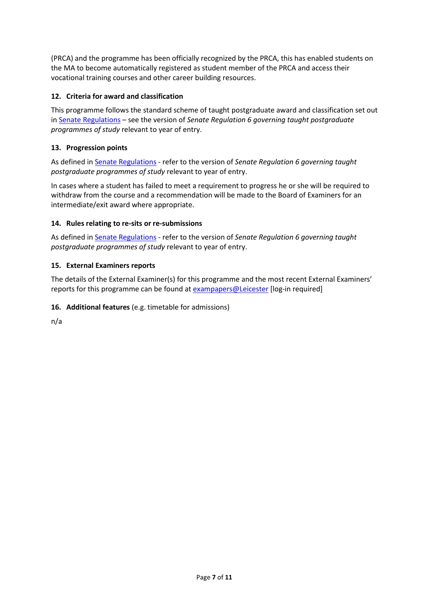(PRCA) and the programme has been officially recognized by the PRCA, this has enabled students on the MA to become automatically registered as student member of the PRCA and access their vocational training courses and other career building resources.

#### **12. Criteria for award and classification**

This programme follows the standard scheme of taught postgraduate award and classification set out i[n Senate Regulations](http://www.le.ac.uk/senate-regulations) – see the version of *Senate Regulation 6 governing taught postgraduate programmes of study* relevant to year of entry.

### **13. Progression points**

As defined i[n Senate Regulations](http://www.le.ac.uk/senate-regulation6) - refer to the version of *Senate Regulation 6 governing taught postgraduate programmes of study* relevant to year of entry.

In cases where a student has failed to meet a requirement to progress he or she will be required to withdraw from the course and a recommendation will be made to the Board of Examiners for an intermediate/exit award where appropriate.

#### **14. Rules relating to re-sits or re-submissions**

As defined i[n Senate Regulations](http://www.le.ac.uk/senate-regulation6) - refer to the version of *Senate Regulation 6 governing taught postgraduate programmes of study* relevant to year of entry.

#### **15. External Examiners reports**

The details of the External Examiner(s) for this programme and the most recent External Examiners' reports for this programme can be found at [exampapers@Leicester](https://exampapers.le.ac.uk/) [log-in required]

### **16. Additional features** (e.g. timetable for admissions)

n/a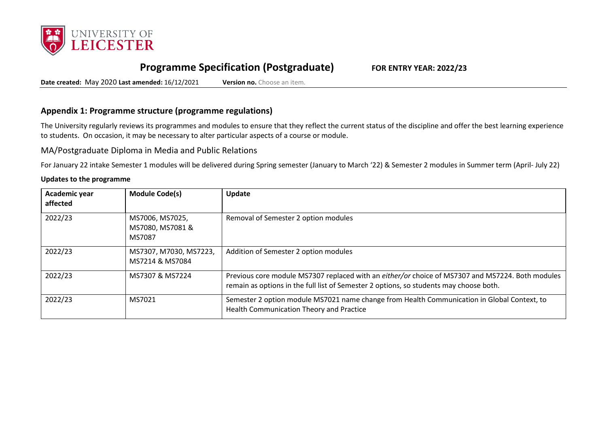

# **Programme Specification (Postgraduate) FOR ENTRY YEAR: 2022/23**

**Date created:** May 2020 **Last amended:** 16/12/2021 **Version no.** Choose an item.

## **Appendix 1: Programme structure (programme regulations)**

The University regularly reviews its programmes and modules to ensure that they reflect the current status of the discipline and offer the best learning experience to students. On occasion, it may be necessary to alter particular aspects of a course or module.

MA/Postgraduate Diploma in Media and Public Relations

For January 22 intake Semester 1 modules will be delivered during Spring semester (January to March '22) & Semester 2 modules in Summer term (April- July 22)

#### **Updates to the programme**

| Academic year<br>affected | <b>Module Code(s)</b>                         | Update                                                                                                                                                                                     |
|---------------------------|-----------------------------------------------|--------------------------------------------------------------------------------------------------------------------------------------------------------------------------------------------|
| 2022/23                   | MS7006, MS7025,<br>MS7080, MS7081 &<br>MS7087 | Removal of Semester 2 option modules                                                                                                                                                       |
| 2022/23                   | MS7307, M7030, MS7223,<br>MS7214 & MS7084     | Addition of Semester 2 option modules                                                                                                                                                      |
| 2022/23                   | MS7307 & MS7224                               | Previous core module MS7307 replaced with an either/or choice of MS7307 and MS7224. Both modules<br>remain as options in the full list of Semester 2 options, so students may choose both. |
| 2022/23                   | MS7021                                        | Semester 2 option module MS7021 name change from Health Communication in Global Context, to<br>Health Communication Theory and Practice                                                    |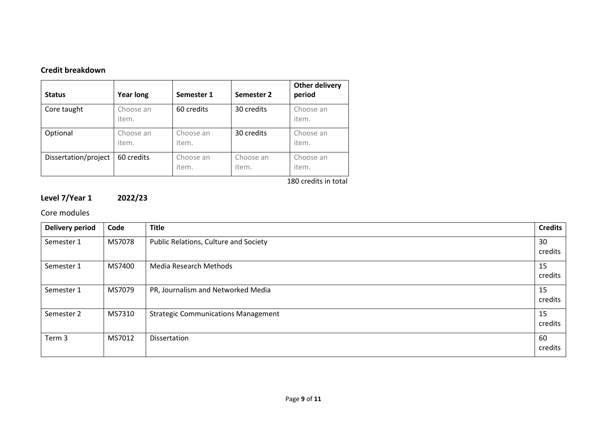## **Credit breakdown**

| <b>Status</b>        | <b>Year long</b>   | Semester 1         | Semester 2         | <b>Other delivery</b><br>period |
|----------------------|--------------------|--------------------|--------------------|---------------------------------|
| Core taught          | Choose an<br>item. | 60 credits         | 30 credits         | Choose an<br>item.              |
| Optional             | Choose an<br>item. | Choose an<br>item. | 30 credits         | Choose an<br>item.              |
| Dissertation/project | 60 credits         | Choose an<br>item. | Choose an<br>item. | Choose an<br>item.              |

180 credits in total

# **Level 7/Year 1 2022/23**

## Core modules

| <b>Delivery period</b> | Code   | <b>Title</b>                               | <b>Credits</b> |
|------------------------|--------|--------------------------------------------|----------------|
| Semester 1             | MS7078 | Public Relations, Culture and Society      | 30<br>credits  |
| Semester 1             | MS7400 | Media Research Methods                     | 15<br>credits  |
| Semester 1             | MS7079 | PR, Journalism and Networked Media         | 15<br>credits  |
| Semester 2             | MS7310 | <b>Strategic Communications Management</b> | 15<br>credits  |
| Term 3                 | MS7012 | Dissertation                               | 60<br>credits  |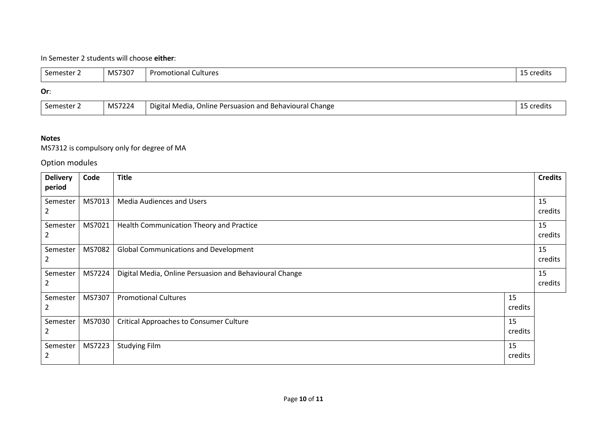## In Semester 2 students will choose **either**:

| Semester 2 | MS7307 | <b>Promotional Cultures</b> | .<br>15 credits |
|------------|--------|-----------------------------|-----------------|
| Or:        |        |                             |                 |

#### **Or**:

| Semester | MS7224 | Digital Media,<br>, Online Persuasion and Behavioural Change | credits |
|----------|--------|--------------------------------------------------------------|---------|
|          |        |                                                              |         |

### **Notes**

MS7312 is compulsory only for degree of MA

Option modules

| <b>Delivery</b><br>period | Code   | <b>Title</b>                                            |               | <b>Credits</b> |
|---------------------------|--------|---------------------------------------------------------|---------------|----------------|
| Semester<br>2             | MS7013 | <b>Media Audiences and Users</b>                        |               | 15<br>credits  |
| Semester<br>2             | MS7021 | Health Communication Theory and Practice                |               | 15<br>credits  |
| Semester<br>2             | MS7082 | <b>Global Communications and Development</b>            |               | 15<br>credits  |
| Semester<br>2             | MS7224 | Digital Media, Online Persuasion and Behavioural Change |               | 15<br>credits  |
| Semester<br>2             | MS7307 | <b>Promotional Cultures</b>                             | 15<br>credits |                |
| Semester<br>2             | MS7030 | <b>Critical Approaches to Consumer Culture</b>          | 15<br>credits |                |
| Semester<br>2             | MS7223 | <b>Studying Film</b>                                    | 15<br>credits |                |